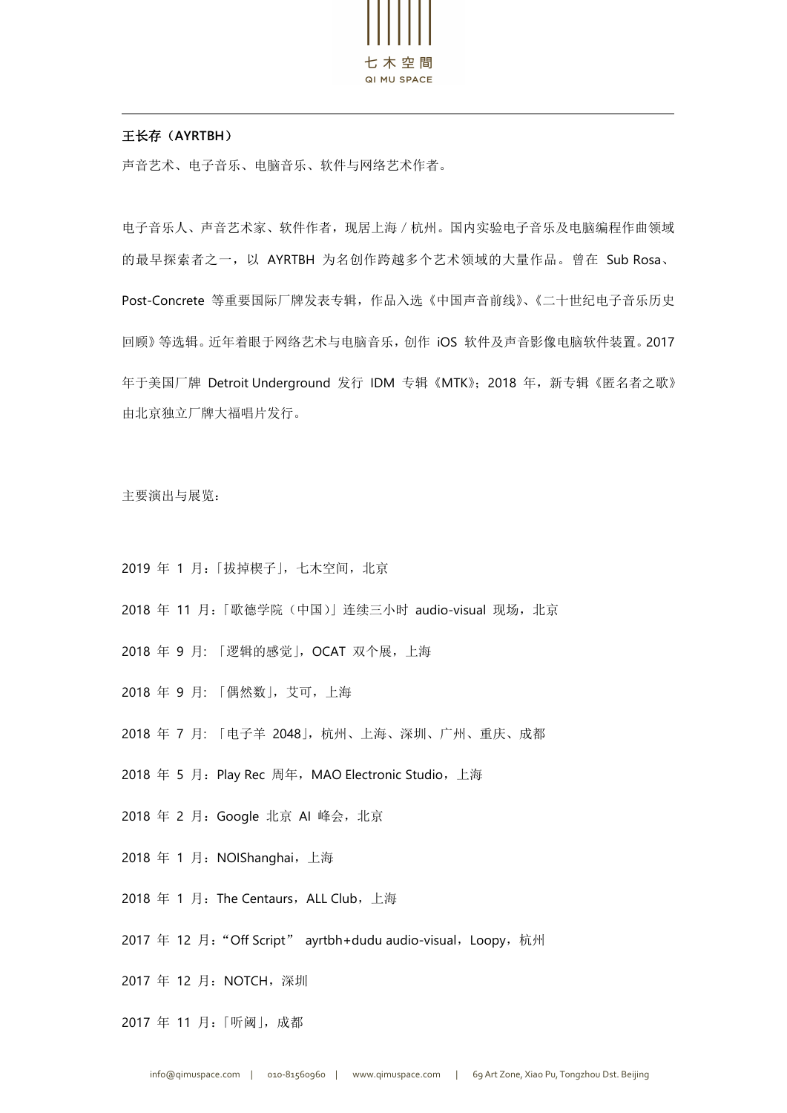

## 王长存(**AYRTBH**)

声音艺术、电子音乐、电脑音乐、软件与网络艺术作者。

电子音乐人、声音艺术家、软件作者,现居上海/杭州。国内实验电子音乐及电脑编程作曲领域 的最早探索者之一,以 AYRTBH 为名创作跨越多个艺术领域的大量作品。曾在 Sub Rosa、 Post-Concrete 等重要国际厂牌发表专辑,作品入选《中国声音前线》、《二十世纪电子音乐历史 回顾》等选辑。近年着眼于网络艺术与电脑音乐,创作 iOS 软件及声音影像电脑软件装置。2017 年于美国厂牌 Detroit Underground 发行 IDM 专辑《MTK》;2018 年,新专辑《匿名者之歌》 由北京独立厂牌大福唱片发行。

主要演出与展览:

- 2019 年 1 月: 「拔掉楔子」, 七木空间, 北京
- 2018 年 11 月:「歌德学院(中国)」连续三小时 audio-visual 现场,北京
- 2018 年 9 月: 「逻辑的感觉」,OCAT 双个展,上海
- 2018 年 9 月: 「偶然数」,艾可,上海
- 2018 年 7 月: 「电子羊 2048」,杭州、上海、深圳、广州、重庆、成都
- 2018 年 5 月: Play Rec 周年, MAO Electronic Studio, 上海
- 2018 年 2 月:Google 北京 AI 峰会,北京
- 2018 年 1 月: NOIShanghai, 上海
- 2018 年 1 月: The Centaurs, ALL Club, 上海
- 2017 年 12 月: "Off Script" ayrtbh+dudu audio-visual, Loopy, 杭州

2017 年 12 月:NOTCH,深圳

2017 年 11 月:「听阈」, 成都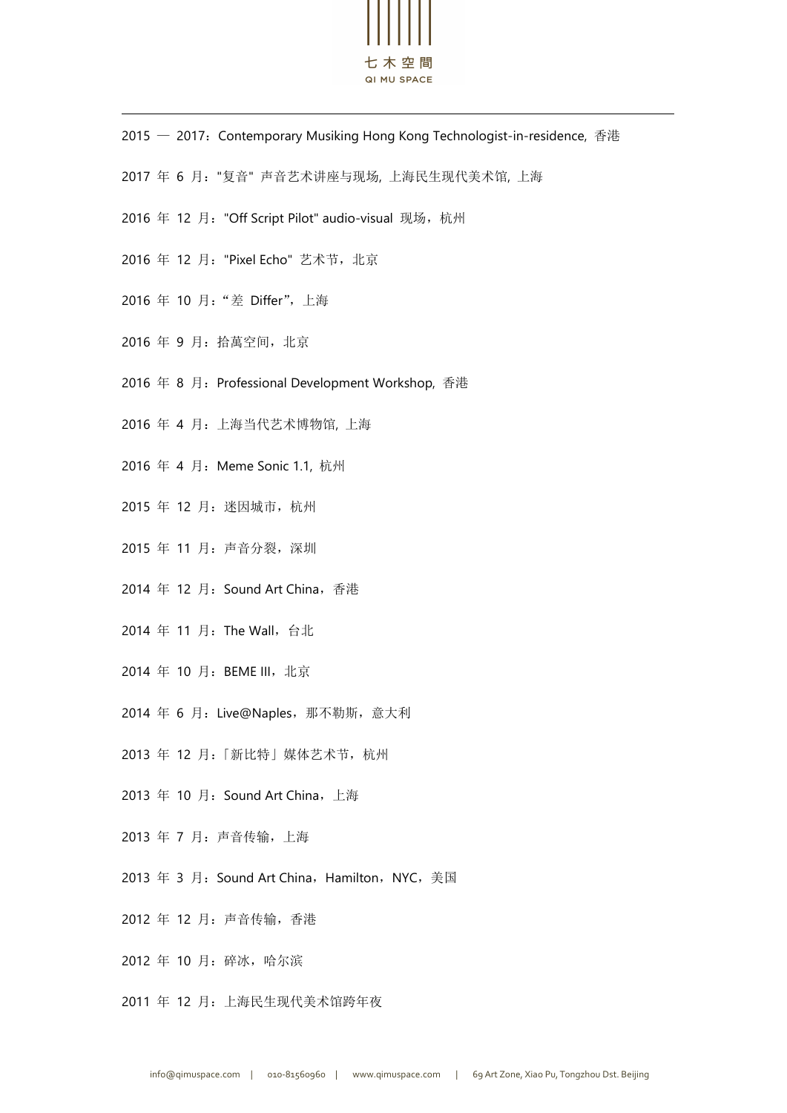

- 2015 2017: Contemporary Musiking Hong Kong Technologist-in-residence, 香港
- 2017 年 6 月:"复音" 声音艺术讲座与现场, 上海民生现代美术馆, 上海
- 2016 年 12 月: "Off Script Pilot" audio-visual 现场,杭州
- 2016 年 12 月: "Pixel Echo" 艺术节, 北京
- 2016 年 10 月:"差 Differ",上海
- 2016 年 9 月:拾萬空间,北京
- 2016 年 8 月: Professional Development Workshop, 香港
- 2016 年 4 月:上海当代艺术博物馆, 上海
- 2016 年 4 月: Meme Sonic 1.1, 杭州
- 2015 年 12 月:迷因城市,杭州
- 2015 年 11 月:声音分裂,深圳
- 2014 年 12 月: Sound Art China, 香港
- 2014 年 11 月: The Wall, 台北
- 2014 年 10 月:BEME III,北京
- 2014 年 6 月:Live@Naples,那不勒斯,意大利
- 2013 年 12 月:「新比特」媒体艺术节,杭州
- 2013 年 10 月: Sound Art China, 上海
- 2013 年 7 月:声音传输,上海
- 2013 年 3 月: Sound Art China, Hamilton, NYC, 美国
- 2012 年 12 月:声音传输,香港
- 2012 年 10 月:碎冰,哈尔滨
- 2011 年 12 月:上海民生现代美术馆跨年夜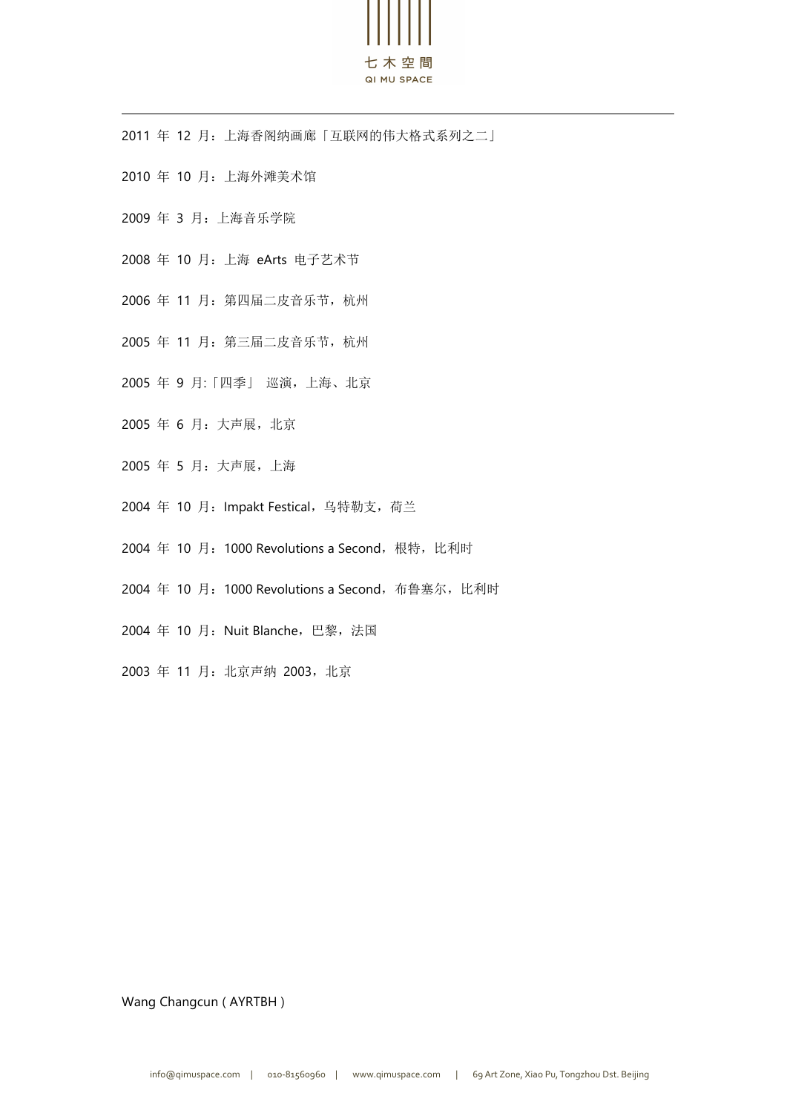

年 12 月:上海香阁纳画廊「互联网的伟大格式系列之二」

- 年 10 月:上海外滩美术馆
- 年 3 月:上海音乐学院
- 年 10 月:上海 eArts 电子艺术节
- 年 11 月:第四届二皮音乐节,杭州
- 年 11 月:第三届二皮音乐节,杭州
- 年 9 月:「四季」 巡演,上海、北京
- 年 6 月:大声展,北京
- 年 5 月:大声展,上海
- 2004 年 10 月: Impakt Festical, 乌特勒支, 荷兰
- 2004 年 10 月: 1000 Revolutions a Second, 根特, 比利时
- 2004 年 10 月: 1000 Revolutions a Second, 布鲁塞尔, 比利时
- 2004 年 10 月: Nuit Blanche, 巴黎, 法国
- 年 11 月:北京声纳 2003,北京

Wang Changcun ( AYRTBH )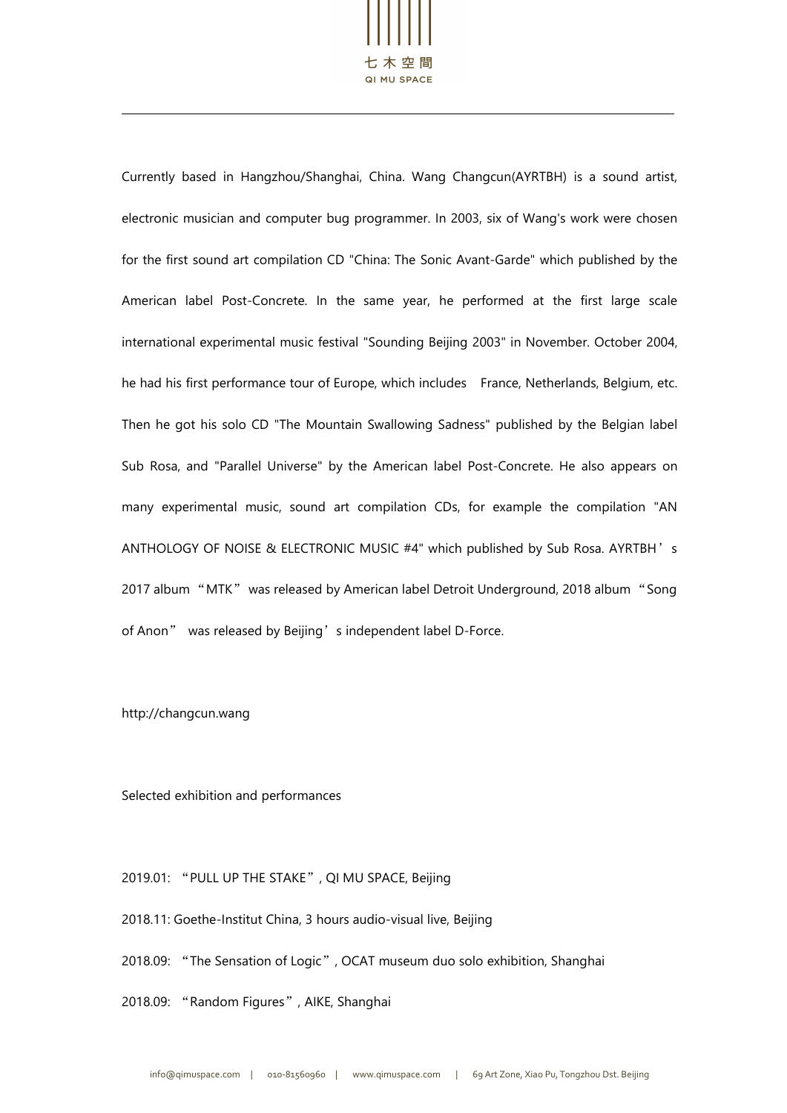

Currently based in Hangzhou/Shanghai, China. Wang Changcun(AYRTBH) is a sound artist, electronic musician and computer bug programmer. In 2003, six of Wang's work were chosen for the first sound art compilation CD "China: The Sonic Avant-Garde" which published by the American label Post-Concrete. In the same year, he performed at the first large scale international experimental music festival "Sounding Beijing 2003" in November. October 2004, he had his first performance tour of Europe, which includes France, Netherlands, Belgium, etc. Then he got his solo CD "The Mountain Swallowing Sadness" published by the Belgian label Sub Rosa, and "Parallel Universe" by the American label Post-Concrete. He also appears on many experimental music, sound art compilation CDs, for example the compilation "AN ANTHOLOGY OF NOISE & ELECTRONIC MUSIC #4" which published by Sub Rosa. AYRTBH's 2017 album "MTK" was released by American label Detroit Underground, 2018 album "Song of Anon" was released by Beijing's independent label D-Force.

<http://changcun.wang>

Selected exhibition and performances

2019.01: "PULL UP THE STAKE", QI MU SPACE, Beijing

2018.11: Goethe-Institut China, 3 hours audio-visual live, Beijing

2018.09: "The Sensation of Logic", OCAT museum duo solo exhibition, Shanghai

2018.09: "Random Figures", AIKE, Shanghai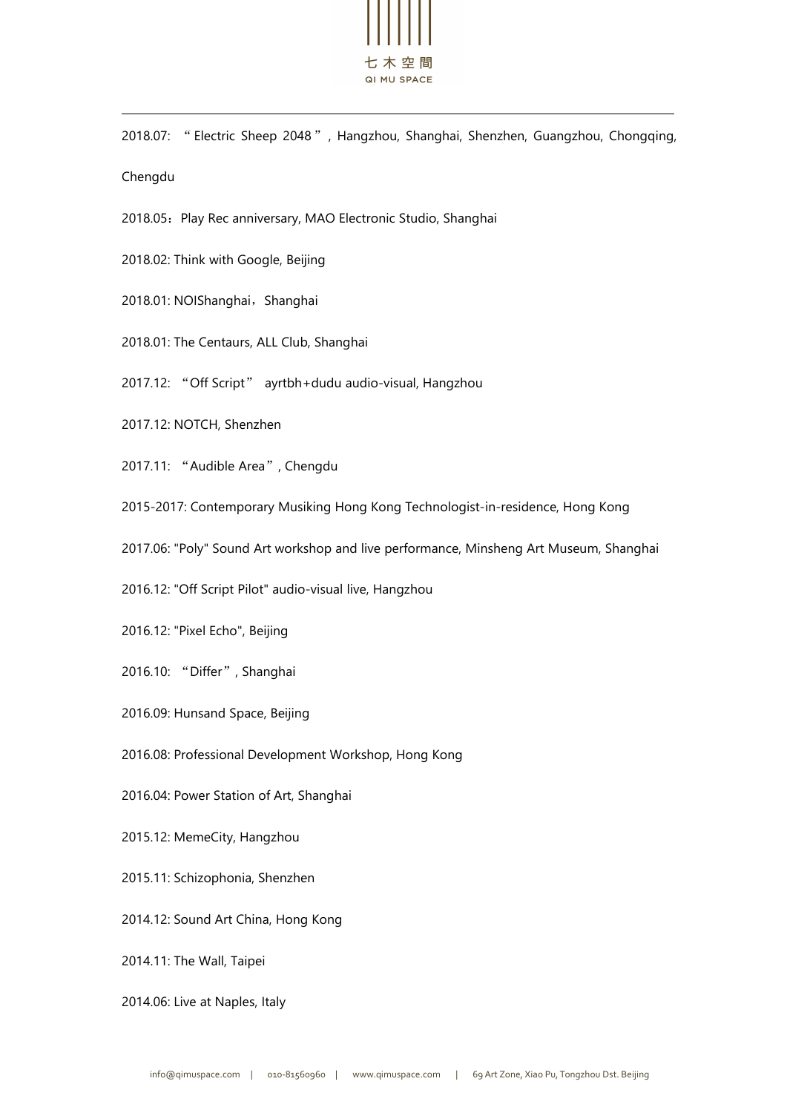

2018.07: "Electric Sheep 2048", Hangzhou, Shanghai, Shenzhen, Guangzhou, Chongqing, Chengdu

2018.05: Play Rec anniversary, MAO Electronic Studio, Shanghai

2018.02: Think with Google, Beijing

- 2018.01: NOIShanghai, Shanghai
- 2018.01: The Centaurs, ALL Club, Shanghai
- 2017.12: "Off Script" ayrtbh+dudu audio-visual, Hangzhou
- 2017.12: NOTCH, Shenzhen

2017.11: "Audible Area", Chengdu

2015-2017: Contemporary Musiking Hong Kong Technologist-in-residence, Hong Kong

2017.06: "Poly" Sound Art workshop and live performance, Minsheng Art Museum, Shanghai

2016.12: "Off Script Pilot" audio-visual live, Hangzhou

2016.12: "Pixel Echo", Beijing

2016.10: "Differ", Shanghai

2016.09: Hunsand Space, Beijing

2016.08: Professional Development Workshop, Hong Kong

2016.04: Power Station of Art, Shanghai

2015.12: MemeCity, Hangzhou

2015.11: Schizophonia, Shenzhen

2014.12: Sound Art China, Hong Kong

2014.11: The Wall, Taipei

2014.06: Live at Naples, Italy